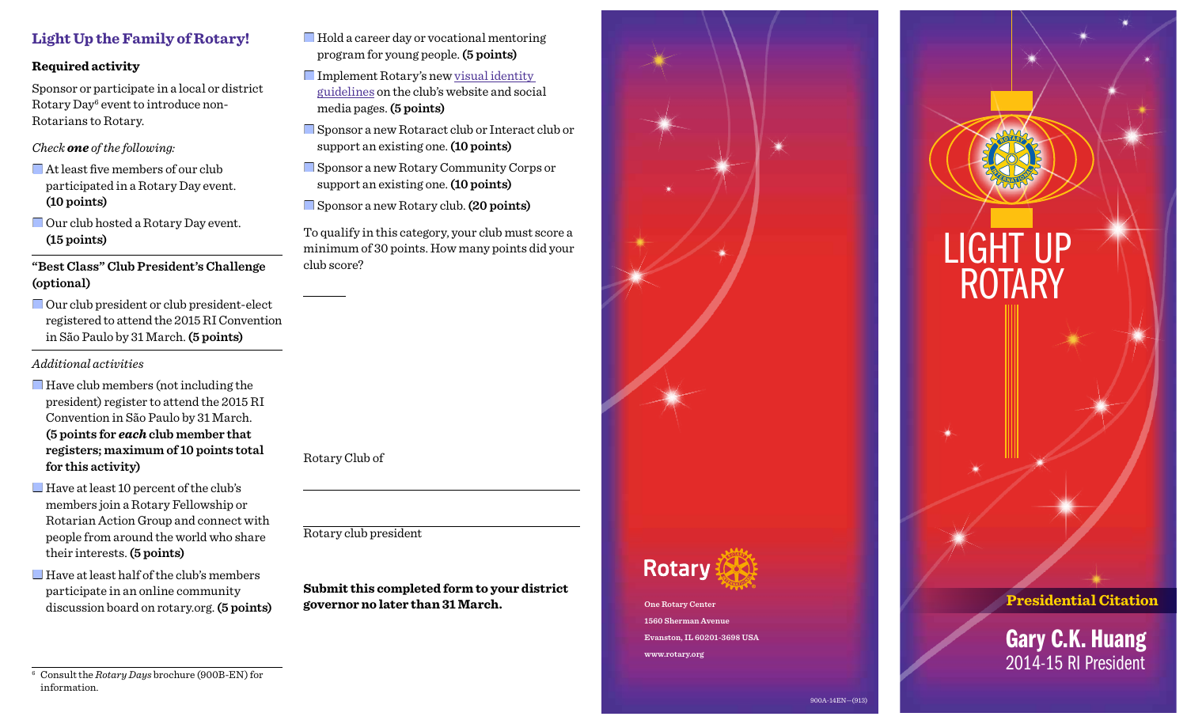**Light Up the Family of Rotary!**

Sponsor or participate in a local or district

*Check one of the following:*

**Required activity**

- $\blacksquare$  At least five members of our club participated in a Rotary Day event. **(10 points)**
- $\Box$  Our club hosted a Rotary Day event. **(15 points)**

**"Best Class" Club President's Challenge (optional)**

■ Our club president or club president-elect registered to attend the 2015 RI Convention in São Paulo by 31 March. **(5 points)**

#### *Additional activities*

- Have club members (not including the president) register to attend the 2015 RI Convention in São Paulo by 31 March. **(5 points for** *each* **club member that registers; maximum of 10 points total for this activity)**
- $\Box$  Have at least 10 percent of the club's members join a Rotary Fellowship or Rotarian Action Group and connect with people from around the world who share their interests. **(5 points)**
- $\Box$  Have at least half of the club's members participate in an online community discussion board on rotary.org. **(5 points)**

 $\blacksquare$  Hold a career day or vocational mentoring program for young people. **(5 points)**

**■ Implement Rotary's new visual identity** [guidelines](http://www.rotary.org/myrotary/en/visual-and-voice-guidelines) on the club's website and social media pages. **(5 points)**

■ Sponsor a new Rotaract club or Interact club or support an existing one. **(10 points)**

■ Sponsor a new Rotary Community Corps or support an existing one. **(10 points)**

¨ Sponsor a new Rotary club. **(20 points)**

To qualify in this category, your club must score a minimum of 30 points. How many points did your club score?

Rotary Club of

Rotary club president

**Submit this completed form to your district governor no later than 31 March.**





**One Rotary Center 1560 Sherman Avenue Evanston, IL 60201-3698 USA www.rotary.org**



<sup>6</sup> Consult the *Rotary Days* brochure (900B-EN) for information.